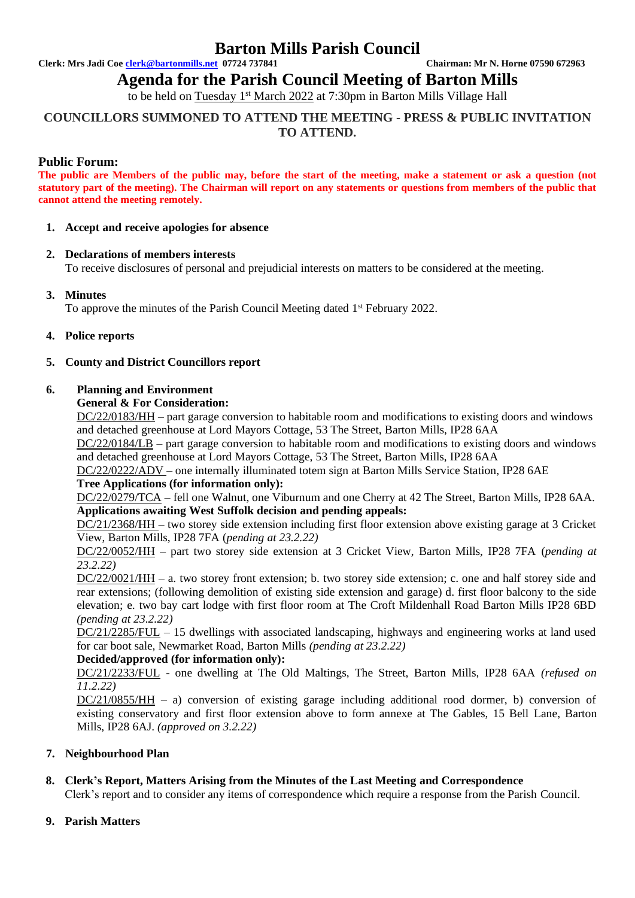## **Barton Mills Parish Council**

**Clerk: Mrs Jadi Coe [clerk@bartonmills.net](mailto:clerk@bartonmills.net) 07724 737841 Chairman: Mr N. Horne 07590 672963**

**Agenda for the Parish Council Meeting of Barton Mills** 

to be held on Tuesday 1<sup>st</sup> March 2022 at 7:30pm in Barton Mills Village Hall

## **COUNCILLORS SUMMONED TO ATTEND THE MEETING - PRESS & PUBLIC INVITATION TO ATTEND.**

## **Public Forum:**

**The public are Members of the public may, before the start of the meeting, make a statement or ask a question (not statutory part of the meeting). The Chairman will report on any statements or questions from members of the public that cannot attend the meeting remotely.**

#### **1. Accept and receive apologies for absence**

## **2. Declarations of members interests**

To receive disclosures of personal and prejudicial interests on matters to be considered at the meeting.

## **3. Minutes**

To approve the minutes of the Parish Council Meeting dated 1<sup>st</sup> February 2022.

#### **4. Police reports**

## **5. County and District Councillors report**

#### **6. Planning and Environment**

#### **General & For Consideration:**

DC/22/0183/HH – part garage conversion to habitable room and modifications to existing doors and windows and detached greenhouse at Lord Mayors Cottage, 53 The Street, Barton Mills, IP28 6AA

DC/22/0184/LB – part garage conversion to habitable room and modifications to existing doors and windows and detached greenhouse at Lord Mayors Cottage, 53 The Street, Barton Mills, IP28 6AA

DC/22/0222/ADV – one internally illuminated totem sign at Barton Mills Service Station, IP28 6AE

## **Tree Applications (for information only):**

DC/22/0279/TCA – fell one Walnut, one Viburnum and one Cherry at 42 The Street, Barton Mills, IP28 6AA. **Applications awaiting West Suffolk decision and pending appeals:**

DC/21/2368/HH – two storey side extension including first floor extension above existing garage at 3 Cricket View, Barton Mills, IP28 7FA (*pending at 23.2.22)*

DC/22/0052/HH – part two storey side extension at 3 Cricket View, Barton Mills, IP28 7FA (*pending at 23.2.22)*

DC/22/0021/HH – a. two storey front extension; b. two storey side extension; c. one and half storey side and rear extensions; (following demolition of existing side extension and garage) d. first floor balcony to the side elevation; e. two bay cart lodge with first floor room at The Croft Mildenhall Road Barton Mills IP28 6BD *(pending at 23.2.22)*

DC/21/2285/FUL – 15 dwellings with associated landscaping, highways and engineering works at land used for car boot sale, Newmarket Road, Barton Mills *(pending at 23.2.22)*

## **Decided/approved (for information only):**

DC/21/2233/FUL - one dwelling at The Old Maltings, The Street, Barton Mills, IP28 6AA *(refused on 11.2.22)*

DC/21/0855/HH – a) conversion of existing garage including additional rood dormer, b) conversion of existing conservatory and first floor extension above to form annexe at The Gables, 15 Bell Lane, Barton Mills, IP28 6AJ. *(approved on 3.2.22)*

## **7. Neighbourhood Plan**

## **8. Clerk's Report, Matters Arising from the Minutes of the Last Meeting and Correspondence**

Clerk's report and to consider any items of correspondence which require a response from the Parish Council.

## **9. Parish Matters**